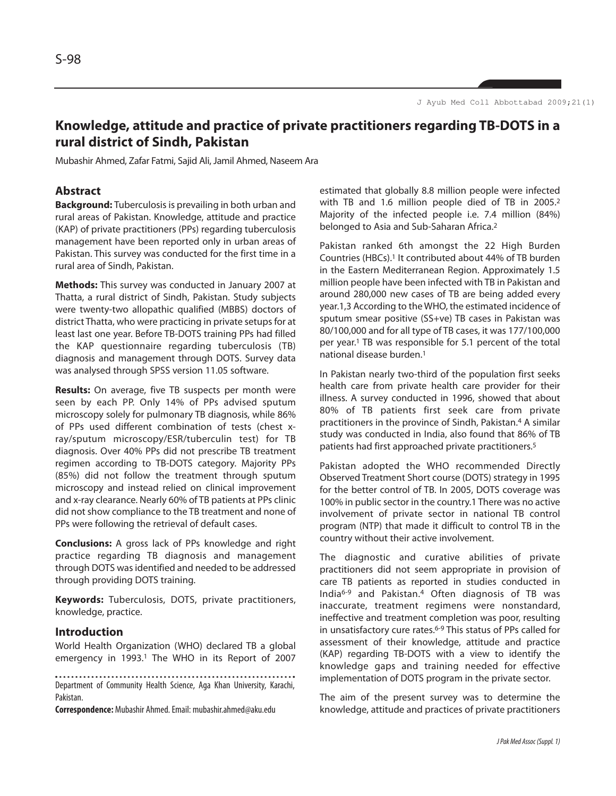# **Knowledge, attitude and practice of private practitioners regarding TB-DOTS in a rural district of Sindh, Pakistan**

Mubashir Ahmed, Zafar Fatmi, Sajid Ali, Jamil Ahmed, Naseem Ara

## **Abstract**

**Background:** Tuberculosis is prevailing in both urban and rural areas of Pakistan. Knowledge, attitude and practice (KAP) of private practitioners (PPs) regarding tuberculosis management have been reported only in urban areas of Pakistan. This survey was conducted for the first time in a rural area of Sindh, Pakistan.

**Methods:** This survey was conducted in January 2007 at Thatta, a rural district of Sindh, Pakistan. Study subjects were twenty-two allopathic qualified (MBBS) doctors of district Thatta, who were practicing in private setups for at least last one year. Before TB-DOTS training PPs had filled the KAP questionnaire regarding tuberculosis (TB) diagnosis and management through DOTS. Survey data was analysed through SPSS version 11.05 software.

**Results:** On average, five TB suspects per month were seen by each PP. Only 14% of PPs advised sputum microscopy solely for pulmonary TB diagnosis, while 86% of PPs used different combination of tests (chest xray/sputum microscopy/ESR/tuberculin test) for TB diagnosis. Over 40% PPs did not prescribe TB treatment regimen according to TB-DOTS category. Majority PPs (85%) did not follow the treatment through sputum microscopy and instead relied on clinical improvement and x-ray clearance. Nearly 60% of TB patients at PPs clinic did not show compliance to the TB treatment and none of PPs were following the retrieval of default cases.

**Conclusions:** A gross lack of PPs knowledge and right practice regarding TB diagnosis and management through DOTS was identified and needed to be addressed through providing DOTS training.

**Keywords:** Tuberculosis, DOTS, private practitioners, knowledge, practice.

#### **Introduction**

World Health Organization (WHO) declared TB a global emergency in 1993.<sup>1</sup> The WHO in its Report of 2007

Department of Community Health Science, Aga Khan University, Karachi, Pakistan.

**Correspondence:** Mubashir Ahmed. Email: mubashir.ahmed@aku.edu

estimated that globally 8.8 million people were infected with TB and 1.6 million people died of TB in 2005.<sup>2</sup> Majority of the infected people i.e. 7.4 million (84%) belonged to Asia and Sub-Saharan Africa.<sup>2</sup>

Pakistan ranked 6th amongst the 22 High Burden Countries (HBCs).<sup>1</sup> It contributed about 44% of TB burden in the Eastern Mediterranean Region. Approximately 1.5 million people have been infected with TB in Pakistan and around 280,000 new cases of TB are being added every year.1,3 According to the WHO, the estimated incidence of sputum smear positive (SS+ve) TB cases in Pakistan was 80/100,000 and for all type of TB cases, it was 177/100,000 per year.<sup>1</sup> TB was responsible for 5.1 percent of the total national disease burden.<sup>1</sup>

In Pakistan nearly two-third of the population first seeks health care from private health care provider for their illness. A survey conducted in 1996, showed that about 80% of TB patients first seek care from private practitioners in the province of Sindh, Pakistan.<sup>4</sup> A similar study was conducted in India, also found that 86% of TB patients had first approached private practitioners.<sup>5</sup>

Pakistan adopted the WHO recommended Directly Observed Treatment Short course (DOTS) strategy in 1995 for the better control of TB. In 2005, DOTS coverage was 100% in public sector in the country.1 There was no active involvement of private sector in national TB control program (NTP) that made it difficult to control TB in the country without their active involvement.

The diagnostic and curative abilities of private practitioners did not seem appropriate in provision of care TB patients as reported in studies conducted in India6-9 and Pakistan.<sup>4</sup> Often diagnosis of TB was inaccurate, treatment regimens were nonstandard, ineffective and treatment completion was poor, resulting in unsatisfactory cure rates.6-9 This status of PPs called for assessment of their knowledge, attitude and practice (KAP) regarding TB-DOTS with a view to identify the knowledge gaps and training needed for effective implementation of DOTS program in the private sector.

The aim of the present survey was to determine the knowledge, attitude and practices of private practitioners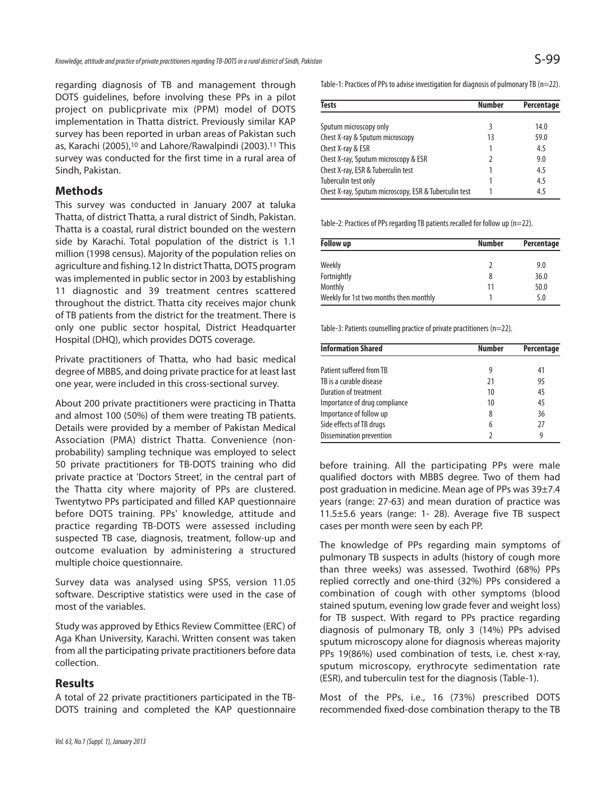regarding diagnosis of TB and management through DOTS guidelines, before involving these PPs in a pilot project on publicprivate mix (PPM) model of DOTS implementation in Thatta district. Previously similar KAP survey has been reported in urban areas of Pakistan such as, Karachi (2005),<sup>10</sup> and Lahore/Rawalpindi (2003).<sup>11</sup> This survey was conducted for the first time in a rural area of Sindh, Pakistan.

## **Methods**

This survey was conducted in January 2007 at taluka Thatta, of district Thatta, a rural district of Sindh, Pakistan. Thatta is a coastal, rural district bounded on the western side by Karachi. Total population of the district is 1.1 million (1998 census). Majority of the population relies on agriculture and fishing.12 In district Thatta, DOTS program was implemented in public sector in 2003 by establishing 11 diagnostic and 39 treatment centres scattered throughout the district. Thatta city receives major chunk of TB patients from the district for the treatment. There is only one public sector hospital, District Headquarter Hospital (DHQ), which provides DOTS coverage.

Private practitioners of Thatta, who had basic medical degree of MBBS, and doing private practice for at least last one year, were included in this cross-sectional survey.

About 200 private practitioners were practicing in Thatta and almost 100 (50%) of them were treating TB patients. Details were provided by a member of Pakistan Medical Association (PMA) district Thatta. Convenience (nonprobability) sampling technique was employed to select 50 private practitioners for TB-DOTS training who did private practice at 'Doctors Street', in the central part of the Thatta city where majority of PPs are clustered. Twentytwo PPs participated and filled KAP questionnaire before DOTS training. PPs' knowledge, attitude and practice regarding TB-DOTS were assessed including suspected TB case, diagnosis, treatment, follow-up and outcome evaluation by administering a structured multiple choice questionnaire.

Survey data was analysed using SPSS, version 11.05 software. Descriptive statistics were used in the case of most of the variables.

Study was approved by Ethics Review Committee (ERC) of Aga Khan University, Karachi. Written consent was taken from all the participating private practitioners before data collection.

#### **Results**

A total of 22 private practitioners participated in the TB-DOTS training and completed the KAP questionnaire

| <b>Tests</b>                                          | <b>Number</b> | Percentage |
|-------------------------------------------------------|---------------|------------|
| Sputum microscopy only                                | 3             | 14.0       |
| Chest X-ray & Sputum microscopy                       | 13            | 59.0       |
| Chest X-ray & ESR                                     |               | 4.5        |
| Chest X-ray, Sputum microscopy & ESR                  | 7             | 9.0        |
| Chest X-ray, ESR & Tuberculin test                    |               | 4.5        |
| Tuberculin test only                                  |               | 4.5        |
| Chest X-ray, Sputum microscopy, ESR & Tuberculin test |               | 4.5        |

Table-2: Practices of PPs regarding TB patients recalled for follow up (n=22).

| <b>Follow up</b>                       | <b>Number</b> | Percentage |
|----------------------------------------|---------------|------------|
| Weekly                                 |               | 9.0        |
| Fortnightly                            | 8             | 36.0       |
| Monthly                                | 11            | 50.0       |
| Weekly for 1st two months then monthly |               | 5.0        |

Table-3: Patients counselling practice of private practitioners (n=22).

| <b>Information Shared</b>     | <b>Number</b> | Percentage |
|-------------------------------|---------------|------------|
|                               |               |            |
| Patient suffered from TB      | 9             | 41         |
| TB is a curable disease       | 21            | 95         |
| Duration of treatment         | 10            | 45         |
| Importance of drug compliance | 10            | 45         |
| Importance of follow up       | 8             | 36         |
| Side effects of TB drugs      | 6             | 27         |
| Dissemination prevention      |               | 9          |

before training. All the participating PPs were male qualified doctors with MBBS degree. Two of them had post graduation in medicine. Mean age of PPs was 39±7.4 years (range: 27-63) and mean duration of practice was 11.5±5.6 years (range: 1- 28). Average five TB suspect cases per month were seen by each PP.

The knowledge of PPs regarding main symptoms of pulmonary TB suspects in adults (history of cough more than three weeks) was assessed. Twothird (68%) PPs replied correctly and one-third (32%) PPs considered a combination of cough with other symptoms (blood stained sputum, evening low grade fever and weight loss) for TB suspect. With regard to PPs practice regarding diagnosis of pulmonary TB, only 3 (14%) PPs advised sputum microscopy alone for diagnosis whereas majority PPs 19(86%) used combination of tests, i.e. chest x-ray, sputum microscopy, erythrocyte sedimentation rate (ESR), and tuberculin test for the diagnosis (Table-1).

Most of the PPs, i.e., 16 (73%) prescribed DOTS recommended fixed-dose combination therapy to the TB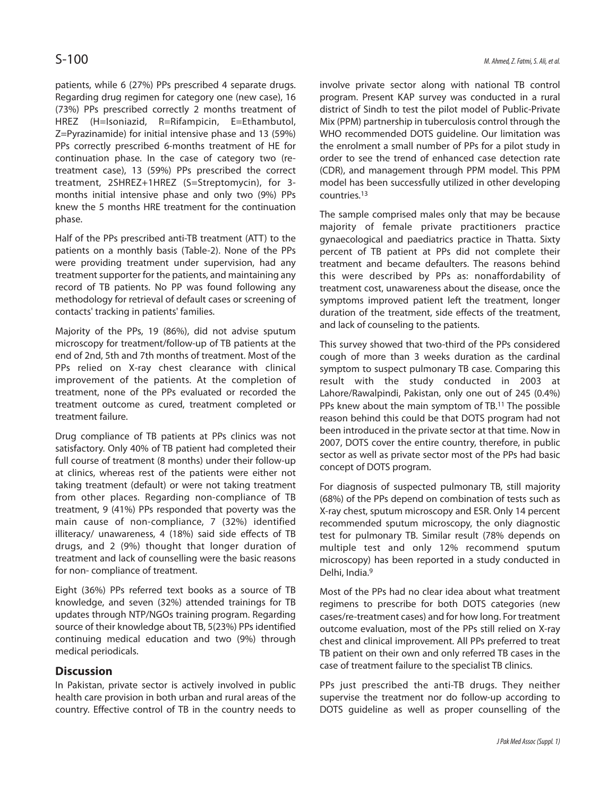patients, while 6 (27%) PPs prescribed 4 separate drugs. Regarding drug regimen for category one (new case), 16 (73%) PPs prescribed correctly 2 months treatment of HREZ (H=Isoniazid, R=Rifampicin, E=Ethambutol, Z=Pyrazinamide) for initial intensive phase and 13 (59%) PPs correctly prescribed 6-months treatment of HE for continuation phase. In the case of category two (retreatment case), 13 (59%) PPs prescribed the correct treatment, 2SHREZ+1HREZ (S=Streptomycin), for 3 months initial intensive phase and only two (9%) PPs knew the 5 months HRE treatment for the continuation phase.

Half of the PPs prescribed anti-TB treatment (ATT) to the patients on a monthly basis (Table-2). None of the PPs were providing treatment under supervision, had any treatment supporter for the patients, and maintaining any record of TB patients. No PP was found following any methodology for retrieval of default cases or screening of contacts' tracking in patients' families.

Majority of the PPs, 19 (86%), did not advise sputum microscopy for treatment/follow-up of TB patients at the end of 2nd, 5th and 7th months of treatment. Most of the PPs relied on X-ray chest clearance with clinical improvement of the patients. At the completion of treatment, none of the PPs evaluated or recorded the treatment outcome as cured, treatment completed or treatment failure.

Drug compliance of TB patients at PPs clinics was not satisfactory. Only 40% of TB patient had completed their full course of treatment (8 months) under their follow-up at clinics, whereas rest of the patients were either not taking treatment (default) or were not taking treatment from other places. Regarding non-compliance of TB treatment, 9 (41%) PPs responded that poverty was the main cause of non-compliance, 7 (32%) identified illiteracy/ unawareness, 4 (18%) said side effects of TB drugs, and 2 (9%) thought that longer duration of treatment and lack of counselling were the basic reasons for non- compliance of treatment.

Eight (36%) PPs referred text books as a source of TB knowledge, and seven (32%) attended trainings for TB updates through NTP/NGOs training program. Regarding source of their knowledge about TB, 5(23%) PPs identified continuing medical education and two (9%) through medical periodicals.

## **Discussion**

In Pakistan, private sector is actively involved in public health care provision in both urban and rural areas of the country. Effective control of TB in the country needs to involve private sector along with national TB control program. Present KAP survey was conducted in a rural district of Sindh to test the pilot model of Public-Private Mix (PPM) partnership in tuberculosis control through the WHO recommended DOTS guideline. Our limitation was the enrolment a small number of PPs for a pilot study in order to see the trend of enhanced case detection rate (CDR), and management through PPM model. This PPM model has been successfully utilized in other developing countries.<sup>13</sup>

The sample comprised males only that may be because majority of female private practitioners practice gynaecological and paediatrics practice in Thatta. Sixty percent of TB patient at PPs did not complete their treatment and became defaulters. The reasons behind this were described by PPs as: nonaffordability of treatment cost, unawareness about the disease, once the symptoms improved patient left the treatment, longer duration of the treatment, side effects of the treatment, and lack of counseling to the patients.

This survey showed that two-third of the PPs considered cough of more than 3 weeks duration as the cardinal symptom to suspect pulmonary TB case. Comparing this result with the study conducted in 2003 at Lahore/Rawalpindi, Pakistan, only one out of 245 (0.4%) PPs knew about the main symptom of TB.<sup>11</sup> The possible reason behind this could be that DOTS program had not been introduced in the private sector at that time. Now in 2007, DOTS cover the entire country, therefore, in public sector as well as private sector most of the PPs had basic concept of DOTS program.

For diagnosis of suspected pulmonary TB, still majority (68%) of the PPs depend on combination of tests such as X-ray chest, sputum microscopy and ESR. Only 14 percent recommended sputum microscopy, the only diagnostic test for pulmonary TB. Similar result (78% depends on multiple test and only 12% recommend sputum microscopy) has been reported in a study conducted in Delhi, India.<sup>9</sup>

Most of the PPs had no clear idea about what treatment regimens to prescribe for both DOTS categories (new cases/re-treatment cases) and for how long. For treatment outcome evaluation, most of the PPs still relied on X-ray chest and clinical improvement. All PPs preferred to treat TB patient on their own and only referred TB cases in the case of treatment failure to the specialist TB clinics.

PPs just prescribed the anti-TB drugs. They neither supervise the treatment nor do follow-up according to DOTS guideline as well as proper counselling of the